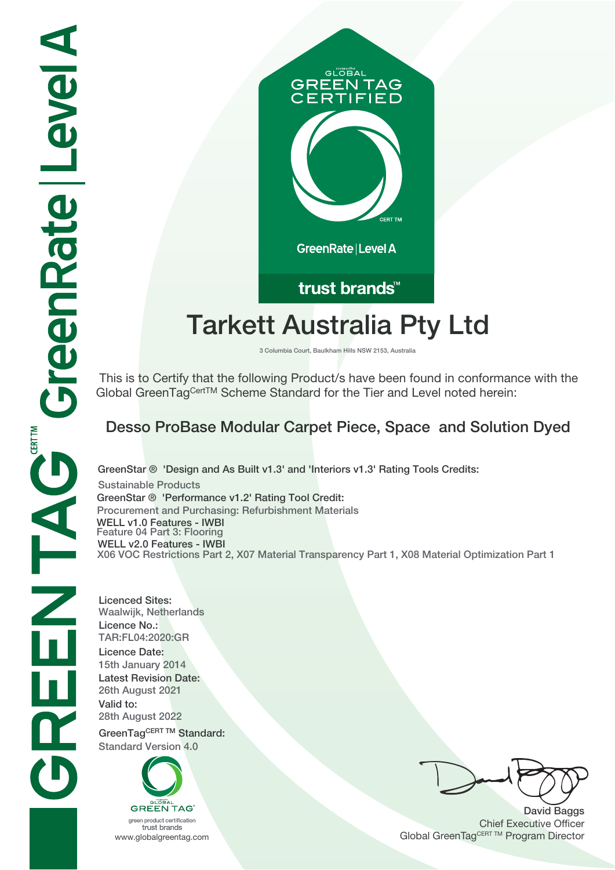

# **Tarkett Australia Pty Ltd**

**3 Columbia Court, Baulkham Hills NSW 2153, Australia**

 This is to Certify that the following Product/s have been found in conformance with the Global GreenTagCertTM Scheme Standard for the Tier and Level noted herein:

# **Desso ProBase Modular Carpet Piece, Space and Solution Dyed**

**GreenStar ® 'Design and As Built v1.3' and 'Interiors v1.3' Rating Tools Credits: Sustainable Products GreenStar ® 'Performance v1.2' Rating Tool Credit: Procurement and Purchasing: Refurbishment Materials WELL v1.0 Features - IWBI Feature 04 Part 3: Flooring WELL v2.0 Features - IWBI X06 VOC Restrictions Part 2, X07 Material Transparency Part 1, X08 Material Optimization Part 1**

**Licenced Sites: Waalwijk, Netherlands Licence No.: TAR:FL04:2020:GR Licence Date: 15th January 2014 Latest Revision Date: 26th August 2021 Valid to: 28th August 2022** GreenTagCERT TM Standard:

**Standard Version 4.0**



trust brands

**David Baggs** Chief Executive Officer WWW.globalgreentag.com **Program Director** Clobal GreenTagCERT TM Program Director